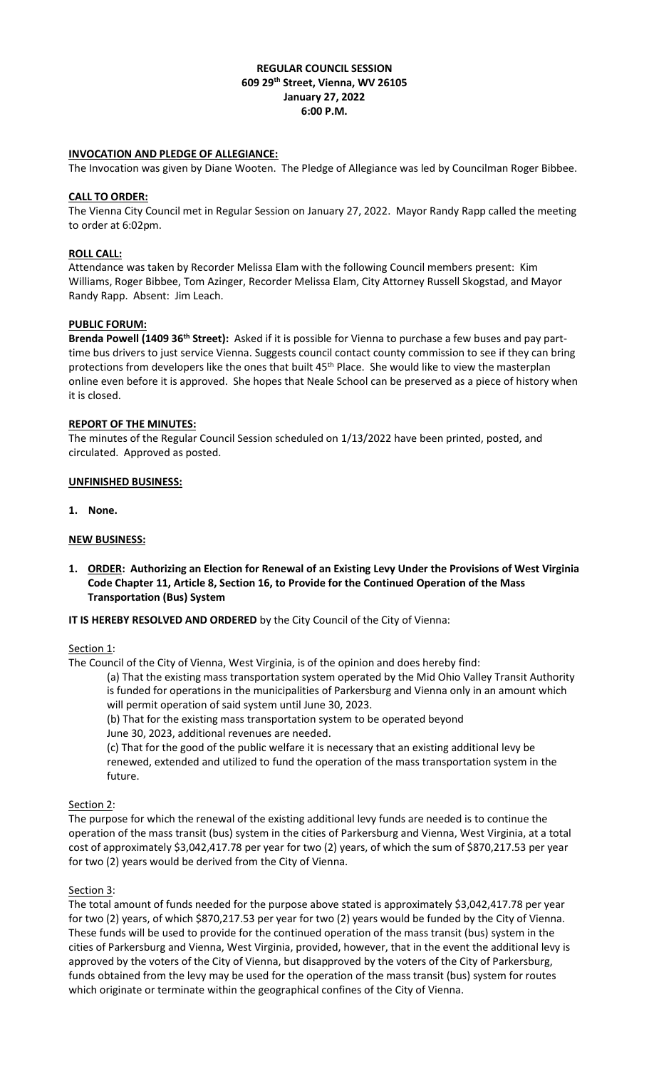## **REGULAR COUNCIL SESSION 609 29th Street, Vienna, WV 26105 January 27, 2022 6:00 P.M.**

## **INVOCATION AND PLEDGE OF ALLEGIANCE:**

The Invocation was given by Diane Wooten. The Pledge of Allegiance was led by Councilman Roger Bibbee.

## **CALL TO ORDER:**

The Vienna City Council met in Regular Session on January 27, 2022. Mayor Randy Rapp called the meeting to order at 6:02pm.

## **ROLL CALL:**

Attendance was taken by Recorder Melissa Elam with the following Council members present: Kim Williams, Roger Bibbee, Tom Azinger, Recorder Melissa Elam, City Attorney Russell Skogstad, and Mayor Randy Rapp. Absent: Jim Leach.

## **PUBLIC FORUM:**

**Brenda Powell (1409 36th Street):** Asked if it is possible for Vienna to purchase a few buses and pay parttime bus drivers to just service Vienna. Suggests council contact county commission to see if they can bring protections from developers like the ones that built 45<sup>th</sup> Place. She would like to view the masterplan online even before it is approved. She hopes that Neale School can be preserved as a piece of history when it is closed.

## **REPORT OF THE MINUTES:**

The minutes of the Regular Council Session scheduled on 1/13/2022 have been printed, posted, and circulated. Approved as posted.

### **UNFINISHED BUSINESS:**

**1. None.**

## **NEW BUSINESS:**

**1. ORDER: Authorizing an Election for Renewal of an Existing Levy Under the Provisions of West Virginia Code Chapter 11, Article 8, Section 16, to Provide for the Continued Operation of the Mass Transportation (Bus) System**

### **IT IS HEREBY RESOLVED AND ORDERED** by the City Council of the City of Vienna:

### Section 1:

The Council of the City of Vienna, West Virginia, is of the opinion and does hereby find:

(a) That the existing mass transportation system operated by the Mid Ohio Valley Transit Authority is funded for operations in the municipalities of Parkersburg and Vienna only in an amount which will permit operation of said system until June 30, 2023.

(b) That for the existing mass transportation system to be operated beyond

June 30, 2023, additional revenues are needed.

(c) That for the good of the public welfare it is necessary that an existing additional levy be renewed, extended and utilized to fund the operation of the mass transportation system in the future.

# Section 2:

The purpose for which the renewal of the existing additional levy funds are needed is to continue the operation of the mass transit (bus) system in the cities of Parkersburg and Vienna, West Virginia, at a total cost of approximately \$3,042,417.78 per year for two (2) years, of which the sum of \$870,217.53 per year for two (2) years would be derived from the City of Vienna.

### Section 3:

The total amount of funds needed for the purpose above stated is approximately \$3,042,417.78 per year for two (2) years, of which \$870,217.53 per year for two (2) years would be funded by the City of Vienna. These funds will be used to provide for the continued operation of the mass transit (bus) system in the cities of Parkersburg and Vienna, West Virginia, provided, however, that in the event the additional levy is approved by the voters of the City of Vienna, but disapproved by the voters of the City of Parkersburg, funds obtained from the levy may be used for the operation of the mass transit (bus) system for routes which originate or terminate within the geographical confines of the City of Vienna.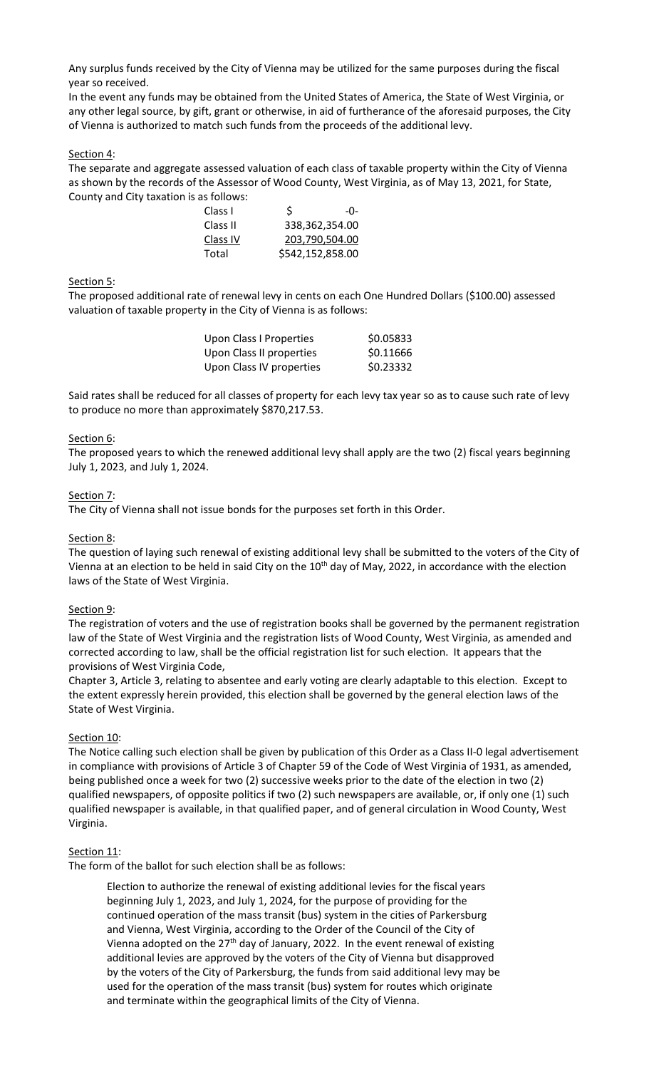Any surplus funds received by the City of Vienna may be utilized for the same purposes during the fiscal year so received.

In the event any funds may be obtained from the United States of America, the State of West Virginia, or any other legal source, by gift, grant or otherwise, in aid of furtherance of the aforesaid purposes, the City of Vienna is authorized to match such funds from the proceeds of the additional levy.

### Section 4:

The separate and aggregate assessed valuation of each class of taxable property within the City of Vienna as shown by the records of the Assessor of Wood County, West Virginia, as of May 13, 2021, for State, County and City taxation is as follows:

| Class I  | S                | $-()$ -        |
|----------|------------------|----------------|
| Class II | 338,362,354.00   |                |
| Class IV |                  | 203,790,504.00 |
| Total    | \$542,152,858.00 |                |

### Section 5:

The proposed additional rate of renewal levy in cents on each One Hundred Dollars (\$100.00) assessed valuation of taxable property in the City of Vienna is as follows:

| \$0.05833 |
|-----------|
| \$0.11666 |
| \$0.23332 |
|           |

Said rates shall be reduced for all classes of property for each levy tax year so as to cause such rate of levy to produce no more than approximately \$870,217.53.

### Section 6:

The proposed years to which the renewed additional levy shall apply are the two (2) fiscal years beginning July 1, 2023, and July 1, 2024.

#### Section 7:

The City of Vienna shall not issue bonds for the purposes set forth in this Order.

### Section 8:

The question of laying such renewal of existing additional levy shall be submitted to the voters of the City of Vienna at an election to be held in said City on the 10<sup>th</sup> day of May, 2022, in accordance with the election laws of the State of West Virginia.

### Section 9:

The registration of voters and the use of registration books shall be governed by the permanent registration law of the State of West Virginia and the registration lists of Wood County, West Virginia, as amended and corrected according to law, shall be the official registration list for such election. It appears that the provisions of West Virginia Code,

Chapter 3, Article 3, relating to absentee and early voting are clearly adaptable to this election. Except to the extent expressly herein provided, this election shall be governed by the general election laws of the State of West Virginia.

### Section 10:

The Notice calling such election shall be given by publication of this Order as a Class II-0 legal advertisement in compliance with provisions of Article 3 of Chapter 59 of the Code of West Virginia of 1931, as amended, being published once a week for two (2) successive weeks prior to the date of the election in two (2) qualified newspapers, of opposite politics if two (2) such newspapers are available, or, if only one (1) such qualified newspaper is available, in that qualified paper, and of general circulation in Wood County, West Virginia.

### Section 11:

The form of the ballot for such election shall be as follows:

Election to authorize the renewal of existing additional levies for the fiscal years beginning July 1, 2023, and July 1, 2024, for the purpose of providing for the continued operation of the mass transit (bus) system in the cities of Parkersburg and Vienna, West Virginia, according to the Order of the Council of the City of Vienna adopted on the  $27<sup>th</sup>$  day of January, 2022. In the event renewal of existing additional levies are approved by the voters of the City of Vienna but disapproved by the voters of the City of Parkersburg, the funds from said additional levy may be used for the operation of the mass transit (bus) system for routes which originate and terminate within the geographical limits of the City of Vienna.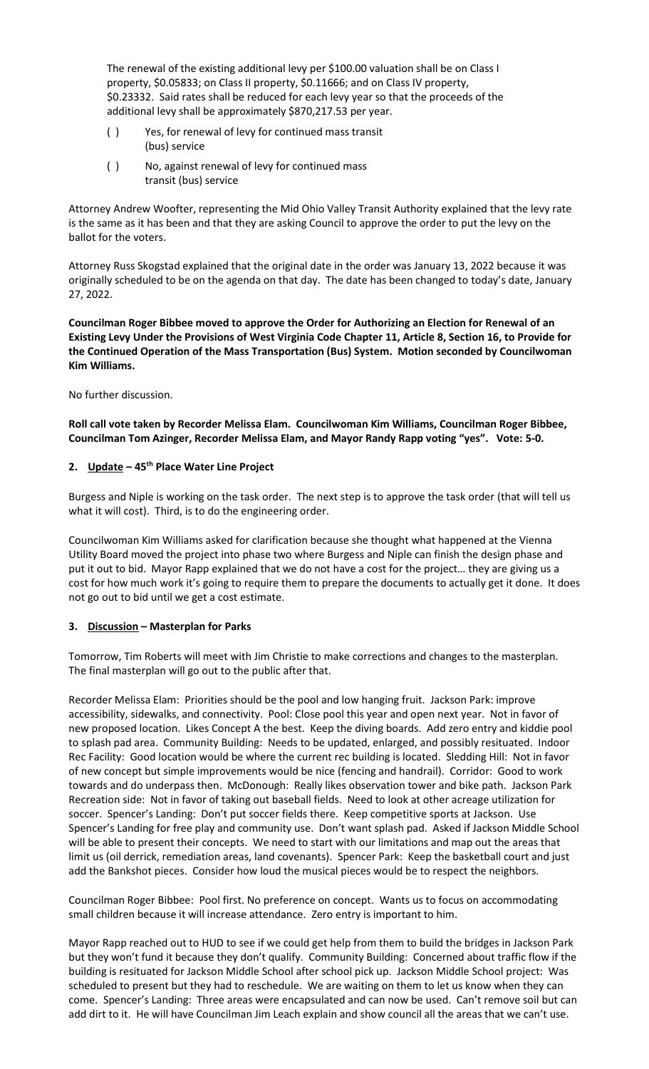The renewal of the existing additional levy per \$100.00 valuation shall be on Class I property, \$0.05833; on Class II property, \$0.11666; and on Class IV property, \$0.23332. Said rates shall be reduced for each levy year so that the proceeds of the additional levy shall be approximately \$870,217.53 per year.

- ( ) Yes, for renewal of levy for continued mass transit (bus) service
- ( ) No, against renewal of levy for continued mass transit (bus) service

Attorney Andrew Woofter, representing the Mid Ohio Valley Transit Authority explained that the levy rate is the same as it has been and that they are asking Council to approve the order to put the levy on the ballot for the voters.

Attorney Russ Skogstad explained that the original date in the order was January 13, 2022 because it was originally scheduled to be on the agenda on that day. The date has been changed to today's date, January 27, 2022.

**Councilman Roger Bibbee moved to approve the Order for Authorizing an Election for Renewal of an Existing Levy Under the Provisions of West Virginia Code Chapter 11, Article 8, Section 16, to Provide for the Continued Operation of the Mass Transportation (Bus) System. Motion seconded by Councilwoman Kim Williams.** 

No further discussion.

**Roll call vote taken by Recorder Melissa Elam. Councilwoman Kim Williams, Councilman Roger Bibbee, Councilman Tom Azinger, Recorder Melissa Elam, and Mayor Randy Rapp voting "yes". Vote: 5-0.**

# **2. Update – 45th Place Water Line Project**

Burgess and Niple is working on the task order. The next step is to approve the task order (that will tell us what it will cost). Third, is to do the engineering order.

Councilwoman Kim Williams asked for clarification because she thought what happened at the Vienna Utility Board moved the project into phase two where Burgess and Niple can finish the design phase and put it out to bid. Mayor Rapp explained that we do not have a cost for the project… they are giving us a cost for how much work it's going to require them to prepare the documents to actually get it done. It does not go out to bid until we get a cost estimate.

# **3. Discussion – Masterplan for Parks**

Tomorrow, Tim Roberts will meet with Jim Christie to make corrections and changes to the masterplan. The final masterplan will go out to the public after that.

Recorder Melissa Elam: Priorities should be the pool and low hanging fruit. Jackson Park: improve accessibility, sidewalks, and connectivity. Pool: Close pool this year and open next year. Not in favor of new proposed location. Likes Concept A the best. Keep the diving boards. Add zero entry and kiddie pool to splash pad area. Community Building: Needs to be updated, enlarged, and possibly resituated. Indoor Rec Facility: Good location would be where the current rec building is located. Sledding Hill: Not in favor of new concept but simple improvements would be nice (fencing and handrail). Corridor: Good to work towards and do underpass then. McDonough: Really likes observation tower and bike path. Jackson Park Recreation side: Not in favor of taking out baseball fields. Need to look at other acreage utilization for soccer. Spencer's Landing: Don't put soccer fields there. Keep competitive sports at Jackson. Use Spencer's Landing for free play and community use. Don't want splash pad. Asked if Jackson Middle School will be able to present their concepts. We need to start with our limitations and map out the areas that limit us (oil derrick, remediation areas, land covenants). Spencer Park: Keep the basketball court and just add the Bankshot pieces. Consider how loud the musical pieces would be to respect the neighbors.

Councilman Roger Bibbee: Pool first. No preference on concept. Wants us to focus on accommodating small children because it will increase attendance. Zero entry is important to him.

Mayor Rapp reached out to HUD to see if we could get help from them to build the bridges in Jackson Park but they won't fund it because they don't qualify. Community Building: Concerned about traffic flow if the building is resituated for Jackson Middle School after school pick up. Jackson Middle School project: Was scheduled to present but they had to reschedule. We are waiting on them to let us know when they can come. Spencer's Landing: Three areas were encapsulated and can now be used. Can't remove soil but can add dirt to it. He will have Councilman Jim Leach explain and show council all the areas that we can't use.